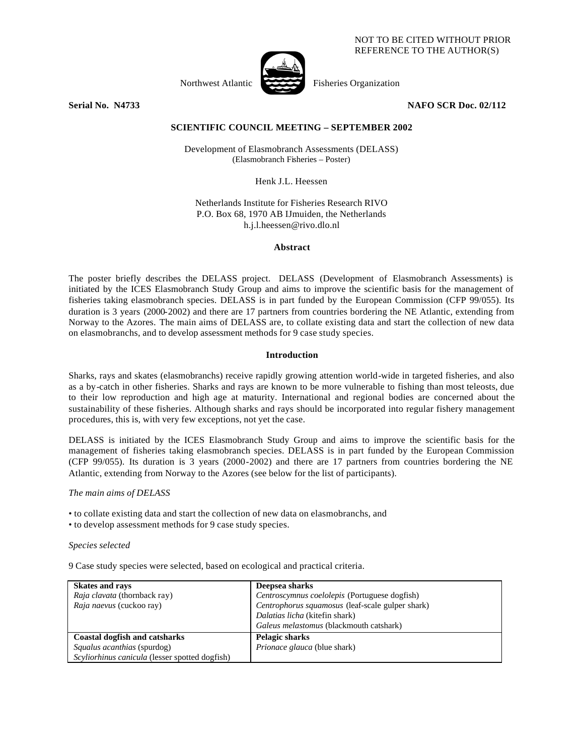### NOT TO BE CITED WITHOUT PRIOR REFERENCE TO THE AUTHOR(S)

Northwest Atlantic Fisheries Organization

**Serial No. N4733 NAFO SCR Doc. 02/112**

# **SCIENTIFIC COUNCIL MEETING – SEPTEMBER 2002**

Development of Elasmobranch Assessments (DELASS) (Elasmobranch Fisheries – Poster)

Henk J.L. Heessen

Netherlands Institute for Fisheries Research RIVO P.O. Box 68, 1970 AB IJmuiden, the Netherlands h.j.l.heessen@rivo.dlo.nl

#### **Abstract**

The poster briefly describes the DELASS project. DELASS (Development of Elasmobranch Assessments) is initiated by the ICES Elasmobranch Study Group and aims to improve the scientific basis for the management of fisheries taking elasmobranch species. DELASS is in part funded by the European Commission (CFP 99/055). Its duration is 3 years (2000-2002) and there are 17 partners from countries bordering the NE Atlantic, extending from Norway to the Azores. The main aims of DELASS are, to collate existing data and start the collection of new data on elasmobranchs, and to develop assessment methods for 9 case study species.

## **Introduction**

Sharks, rays and skates (elasmobranchs) receive rapidly growing attention world-wide in targeted fisheries, and also as a by-catch in other fisheries. Sharks and rays are known to be more vulnerable to fishing than most teleosts, due to their low reproduction and high age at maturity. International and regional bodies are concerned about the sustainability of these fisheries. Although sharks and rays should be incorporated into regular fishery management procedures, this is, with very few exceptions, not yet the case.

DELASS is initiated by the ICES Elasmobranch Study Group and aims to improve the scientific basis for the management of fisheries taking elasmobranch species. DELASS is in part funded by the European Commission (CFP 99/055). Its duration is 3 years (2000-2002) and there are 17 partners from countries bordering the NE Atlantic, extending from Norway to the Azores (see below for the list of participants).

## *The main aims of DELASS*

- to collate existing data and start the collection of new data on elasmobranchs, and
- to develop assessment methods for 9 case study species.

## *Species selected*

9 Case study species were selected, based on ecological and practical criteria.

| <b>Skates and rays</b>                         | Deepsea sharks                                   |
|------------------------------------------------|--------------------------------------------------|
| <i>Raja clavata</i> (thornback ray)            | Centroscymnus coelolepis (Portuguese dogfish)    |
| Raja naevus (cuckoo ray)                       | Centrophorus squamosus (leaf-scale gulper shark) |
|                                                | Dalatias licha (kitefin shark)                   |
|                                                | Galeus melastomus (blackmouth catshark)          |
| <b>Coastal dogfish and catsharks</b>           | Pelagic sharks                                   |
| Squalus acanthias (spurdog)                    | <i>Prionace glauca</i> (blue shark)              |
| Scyliorhinus canicula (lesser spotted dogfish) |                                                  |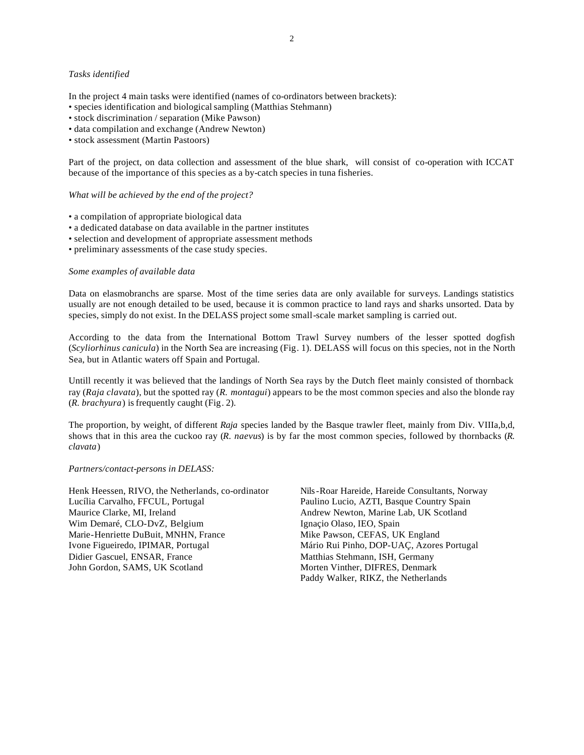#### *Tasks identified*

In the project 4 main tasks were identified (names of co-ordinators between brackets):

- species identification and biological sampling (Matthias Stehmann)
- stock discrimination / separation (Mike Pawson)
- data compilation and exchange (Andrew Newton)
- stock assessment (Martin Pastoors)

Part of the project, on data collection and assessment of the blue shark, will consist of co-operation with ICCAT because of the importance of this species as a by-catch species in tuna fisheries.

# *What will be achieved by the end of the project?*

- a compilation of appropriate biological data
- a dedicated database on data available in the partner institutes
- selection and development of appropriate assessment methods
- preliminary assessments of the case study species.

#### *Some examples of available data*

Data on elasmobranchs are sparse. Most of the time series data are only available for surveys. Landings statistics usually are not enough detailed to be used, because it is common practice to land rays and sharks unsorted. Data by species, simply do not exist. In the DELASS project some small-scale market sampling is carried out.

According to the data from the International Bottom Trawl Survey numbers of the lesser spotted dogfish (*Scyliorhinus canicula*) in the North Sea are increasing (Fig. 1). DELASS will focus on this species, not in the North Sea, but in Atlantic waters off Spain and Portugal.

Untill recently it was believed that the landings of North Sea rays by the Dutch fleet mainly consisted of thornback ray (*Raja clavata*), but the spotted ray (*R. montagui*) appears to be the most common species and also the blonde ray (*R. brachyura*) is frequently caught (Fig. 2).

The proportion, by weight, of different *Raja* species landed by the Basque trawler fleet, mainly from Div. VIIIa,b,d, shows that in this area the cuckoo ray (*R. naevus*) is by far the most common species, followed by thornbacks (*R. clavata*)

#### *Partners/contact-persons in DELASS:*

Henk Heessen, RIVO, the Netherlands, co-ordinator Lucília Carvalho, FFCUL, Portugal Maurice Clarke, MI, Ireland Wim Demaré, CLO-DvZ, Belgium Marie-Henriette DuBuit, MNHN, France Ivone Figueiredo, IPIMAR, Portugal Didier Gascuel, ENSAR, France John Gordon, SAMS, UK Scotland

Nils-Roar Hareide, Hareide Consultants, Norway Paulino Lucio, AZTI, Basque Country Spain Andrew Newton, Marine Lab, UK Scotland Ignaçio Olaso, IEO, Spain Mike Pawson, CEFAS, UK England Mário Rui Pinho, DOP-UAÇ, Azores Portugal Matthias Stehmann, ISH, Germany Morten Vinther, DIFRES, Denmark Paddy Walker, RIKZ, the Netherlands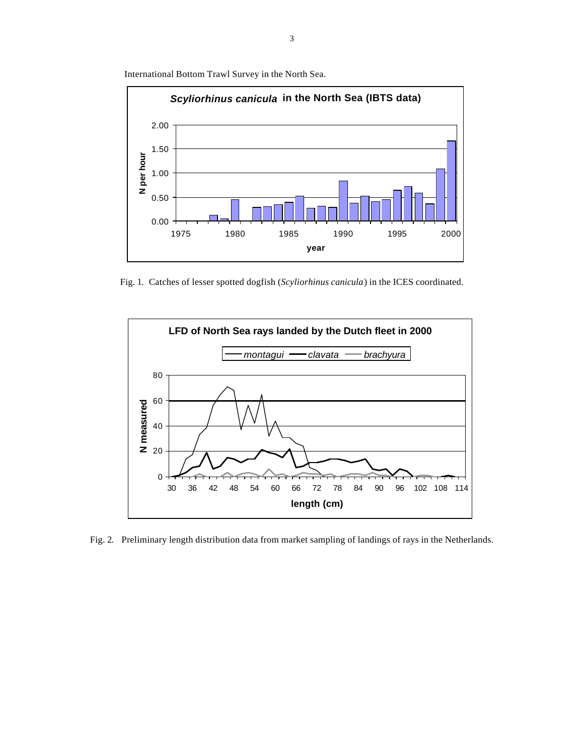International Bottom Trawl Survey in the North Sea.



Fig. 1. Catches of lesser spotted dogfish (*Scyliorhinus canicula*) in the ICES coordinated.



Fig. 2. Preliminary length distribution data from market sampling of landings of rays in the Netherlands.